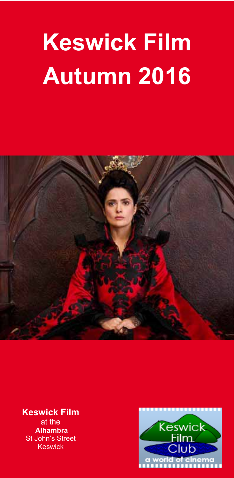# **Keswick Film Autumn 2016**



**Keswick Film**  at the  **Alhambra St John's Street** Keswick

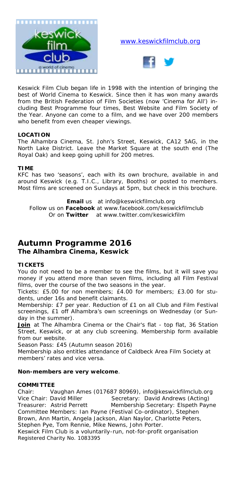

#### www.keswickfilmclub.org



Keswick Film Club began life in 1998 with the intention of bringing the best of World Cinema to Keswick. Since then it has won many awards from the British Federation of Film Societies (now 'Cinema for All') including Best Programme four times, Best Website and Film Society of the Year. Anyone can come to a film, and we have over 200 members who benefit from even cheaper viewings.

#### **LOCATION**

The Alhambra Cinema, St. John's Street, Keswick, CA12 5AG, in the North Lake District. Leave the Market Square at the south end (The Royal Oak) and keep going uphill for 200 metres.

#### **TIME**

KFC has two 'seasons', each with its own brochure, available in and around Keswick (e.g. T.I.C., Library, Booths) or posted to members. Most films are screened on Sundays at 5pm, but check in this brochure.

**Email** us at info@keswickfilmclub.org Follow us on **Facebook** at www.facebook.com/keswickfilmclub Or on **Twitter** at www.twitter.com/keswickfilm

## **Autumn Programme 2016**

#### **The Alhambra Cinema, Keswick**

#### **TICKETS**

You do not need to be a member to see the films, but it will save you money if you attend more than seven films, including all Film Festival films, over the course of the two seasons in the year.

*Tickets:* £5.00 for non members; £4.00 for members; £3.00 for students, under 16s and benefit claimants.

*Membership:* £7 per year. Reduction of £1 on all Club and Film Festival screenings, £1 off Alhambra's own screenings on Wednesday (or Sunday in the summer).

**Join** at The Alhambra Cinema or the Chair's flat - top flat, 36 Station Street, Keswick, or at any club screening. Membership form available from our website.

*Season Pass:* £45 (Autumn season 2016)

Membership also entitles attendance of Caldbeck Area Film Society at members' rates and vice versa.

#### **Non-members are very welcome**.

#### **COMMITTEE**

Chair: Vaughan Ames (017687 80969), info@keswickfilmclub.org Vice Chair: David Miller Secretary: David Andrews (Acting)<br>19 Treasurer: Astrid Perrett Membership Secretary: Elspeth Pay Membership Secretary: Elspeth Payne Committee Members: Ian Payne (Festival Co-ordinator), Stephen Brown, Ann Martin, Angela Jackson, Alan Naylor, Charlotte Peters, Stephen Pye, Tom Rennie, Mike Newns, John Porter.

*Keswick Film Club is a voluntarily-run, not-for-profit organisation Registered Charity No. 1083395*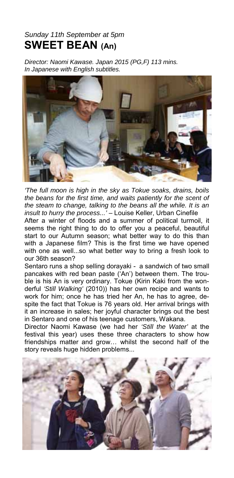### *Sunday 11th September at 5pm*  **SWEET BEAN (An)**

*Director: Naomi Kawase. Japan 2015 (PG,F) 113 mins. In Japanese with English subtitles.* 



*'The full moon is high in the sky as Tokue soaks, drains, boils the beans for the first time, and waits patiently for the scent of the steam to change, talking to the beans all the while. It is an insult to hurry the process...'* – Louise Keller, Urban Cinefile

After a winter of floods and a summer of political turmoil, it seems the right thing to do to offer you a peaceful, beautiful start to our Autumn season; what better way to do this than with a Japanese film? This is the first time we have opened with one as well...so what better way to bring a fresh look to our 36th season?

Sentaro runs a shop selling dorayaki - a sandwich of two small pancakes with red bean paste ('An') between them. The trouble is his An is very ordinary. Tokue (Kirin Kaki from the wonderful *'Still Walking'* (2010)) has her own recipe and wants to work for him; once he has tried her An, he has to agree, despite the fact that Tokue is 76 years old. Her arrival brings with it an increase in sales; her joyful character brings out the best in Sentaro and one of his teenage customers, Wakana.

Director Naomi Kawase (we had her *'Still the Water'* at the festival this year) uses these three characters to show how friendships matter and grow… whilst the second half of the story reveals huge hidden problems...

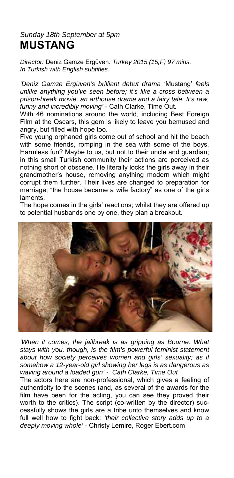### *Sunday 18th September at 5pm*  **MUSTANG**

*Director:* Deniz Gamze Ergüven. *Turkey 2015 (15,F) 97 mins. In Turkish with English subtitles.* 

*'Deniz Gamze Ergüven's brilliant debut drama '*Mustang' *feels unlike anything you've seen before; it's like a cross between a prison-break movie, an arthouse drama and a fairy tale. It's raw, funny and incredibly moving'* - Cath Clarke, Time Out.

With 46 nominations around the world, including Best Foreign Film at the Oscars, this gem is likely to leave you bemused and angry, but filled with hope too.

Five young orphaned girls come out of school and hit the beach with some friends, romping in the sea with some of the boys. Harmless fun? Maybe to us, but not to their uncle and guardian; in this small Turkish community their actions are perceived as nothing short of obscene. He literally locks the girls away in their grandmother's house, removing anything modern which might corrupt them further. Their lives are changed to preparation for marriage; "the house became a wife factory" as one of the girls laments.

The hope comes in the girls' reactions; whilst they are offered up to potential husbands one by one, they plan a breakout.



*'When it comes, the jailbreak is as gripping as Bourne. What stays with you, though, is the film's powerful feminist statement about how society perceives women and girls' sexuality; as if somehow a 12-year-old girl showing her legs is as dangerous as waving around a loaded gun' - Cath Clarke, Time Out* 

The actors here are non-professional, which gives a feeling of authenticity to the scenes (and, as several of the awards for the film have been for the acting, you can see they proved their worth to the critics). The script (co-written by the director) successfully shows the girls are a tribe unto themselves and know full well how to fight back: *'their collective story adds up to a deeply moving whole'* - Christy Lemire, Roger Ebert.com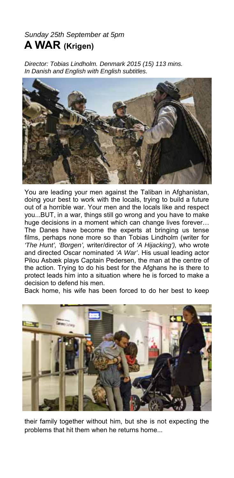## *Sunday 25th September at 5pm*  **A WAR (Krigen)**

*Director: Tobias Lindholm. Denmark 2015 (15) 113 mins. In Danish and English with English subtitles.* 



You are leading your men against the Taliban in Afghanistan, doing your best to work with the locals, trying to build a future out of a horrible war. Your men and the locals like and respect you...BUT, in a war, things still go wrong and you have to make huge decisions in a moment which can change lives forever… The Danes have become the experts at bringing us tense films, perhaps none more so than Tobias Lindholm (writer for *'The Hunt', 'Borgen',* writer/director of *'A Hijacking'),* who wrote and directed Oscar nominated *'A War'*. His usual leading actor Pilou Asbæk plays Captain Pedersen, the man at the centre of the action. Trying to do his best for the Afghans he is there to protect leads him into a situation where he is forced to make a decision to defend his men.

Back home, his wife has been forced to do her best to keep



their family together without him, but she is not expecting the problems that hit them when he returns home...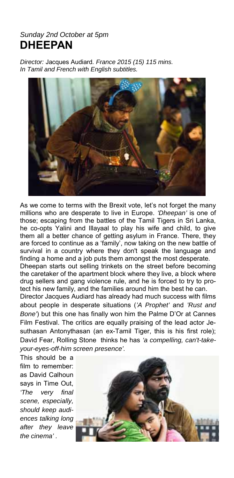#### *Sunday 2nd October at 5pm* **DHEEPAN**

*Director:* Jacques Audiard*. France 2015 (15) 115 mins. In Tamil and French with English subtitles.* 



As we come to terms with the Brexit vote, let's not forget the many millions who are desperate to live in Europe. *'Dheepan'* is one of those; escaping from the battles of the Tamil Tigers in Sri Lanka, he co-opts Yalini and Illayaal to play his wife and child, to give them all a better chance of getting asylum in France. There, they are forced to continue as a 'family', now taking on the new battle of survival in a country where they don't speak the language and finding a home and a job puts them amongst the most desperate*.*  Dheepan starts out selling trinkets on the street before becoming

the caretaker of the apartment block where they live, a block where drug sellers and gang violence rule, and he is forced to try to protect his new family, and the families around him the best he can.

Director Jacques Audiard has already had much success with films about people in desperate situations (*'A Prophet'* and *'Rust and Bone'*) but this one has finally won him the Palme D'Or at Cannes Film Festival. The critics are equally praising of the lead actor Jesuthasan Antonythasan (an ex-Tamil Tiger, this is his first role); David Fear, Rolling Stone thinks he has *'a compelling, can't-takeyour-eyes-off-him screen presence'.*

This should be a film to remember: as David Calhoun says in Time Out, *'The very final scene, especially, should keep audiences talking long after they leave the cinema' .*

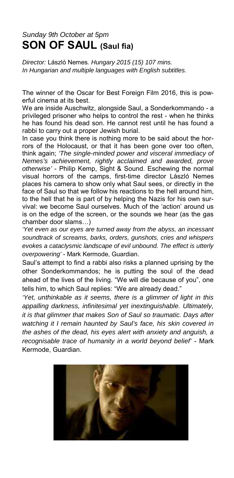## *Sunday 9th October at 5pm*  **SON OF SAUL (Saul fia)**

*Director:* László Nemes*. Hungary 2015 (15) 107 mins. In Hungarian and multiple languages with English subtitles.* 

The winner of the Oscar for Best Foreign Film 2016, this is powerful cinema at its best.

We are inside Auschwitz, alongside Saul, a Sonderkommando - a privileged prisoner who helps to control the rest - when he thinks he has found his dead son. He cannot rest until he has found a rabbi to carry out a proper Jewish burial.

In case you think there is nothing more to be said about the horrors of the Holocaust, or that it has been gone over too often, think again; *'The single-minded power and visceral immediacy of Nemes's achievement, rightly acclaimed and awarded, prove otherwise'* - Philip Kemp, Sight & Sound. Eschewing the normal visual horrors of the camps, first-time director László Nemes places his camera to show only what Saul sees, or directly in the face of Saul so that we follow his reactions to the hell around him, to the hell that he is part of by helping the Nazis for his own survival: we become Saul ourselves. Much of the 'action' around us is on the edge of the screen, or the sounds we hear (as the gas chamber door slams…)

*'Yet even as our eyes are turned away from the abyss, an incessant soundtrack of screams, barks, orders, gunshots, cries and whispers evokes a cataclysmic landscape of evil unbound. The effect is utterly overpowering'* - Mark Kermode, Guardian.

Saul's attempt to find a rabbi also risks a planned uprising by the other Sonderkommandos; he is putting the soul of the dead ahead of the lives of the living. "We will die because of you", one tells him, to which Saul replies: "We are already dead."

*'Yet, unthinkable as it seems, there is a glimmer of light in this appalling darkness, infinitesimal yet inextinguishable. Ultimately, it is that glimmer that makes Son of Saul so traumatic. Days after watching it I remain haunted by Saul's face, his skin covered in the ashes of the dead, his eyes alert with anxiety and anguish, a recognisable trace of humanity in a world beyond belief'* - Mark Kermode, Guardian.

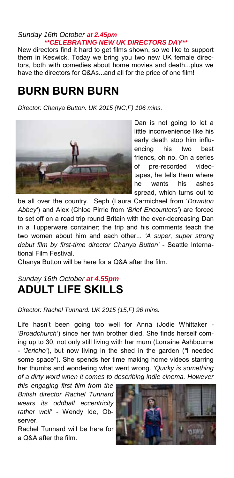#### *Sunday 16th October at 2.45pm \*\*CELEBRATING NEW UK DIRECTORS DAY\*\**

New directors find it hard to get films shown, so we like to support them in Keswick. Today we bring you two new UK female directors, both with comedies about home movies and death...plus we have the directors for Q&As...and all for the price of one film!

## **BURN BURN BURN**

*Director: Chanya Button. UK 2015 (NC,F) 106 mins.* 



Dan is not going to let a little inconvenience like his early death stop him influencing his two best friends, oh no. On a series of pre-recorded videotapes, he tells them where he wants his ashes spread, which turns out to

be all over the country. Seph (Laura Carmichael from '*Downton Abbey'*) and Alex (Chloe Pirrie from *'Brief Encounters'*) are forced to set off on a road trip round Britain with the ever-decreasing Dan in a Tupperware container; the trip and his comments teach the two women about him and each other... *'A super, super strong debut film by first-time director Chanya Button'* - Seattle International Film Festival.

Chanya Button will be here for a Q&A after the film.

## *Sunday 16th October at 4.55pm* **ADULT LIFE SKILLS**

#### *Director: Rachel Tunnard. UK 2015 (15,F) 96 mins.*

Life hasn't been going too well for Anna (Jodie Whittaker - *'Broadchurch'*) since her twin brother died. She finds herself coming up to 30, not only still living with her mum (Lorraine Ashbourne - *'Jericho'*), but now living in the shed in the garden (*"*I needed some space"). She spends her time making home videos starring her thumbs and wondering what went wrong. *'Quirky is something of a dirty word when it comes to describing indie cinema. However* 

*this engaging first film from the British director Rachel Tunnard wears its oddball eccentricity rather well'* - Wendy Ide, Observer.

Rachel Tunnard will be here for a Q&A after the film.

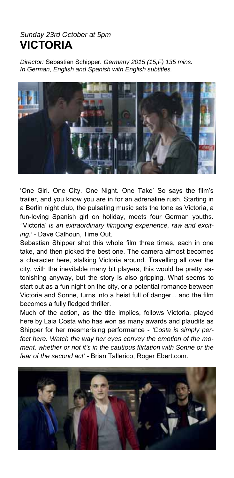### *Sunday 23rd October at 5pm*  **VICTORIA**

*Director:* Sebastian Schipper*. Germany 2015 (15,F) 135 mins. In German, English and Spanish with English subtitles.* 



'One Girl. One City. One Night. One Take' So says the film's trailer, and you know you are in for an adrenaline rush. Starting in a Berlin night club, the pulsating music sets the tone as Victoria, a fun-loving Spanish girl on holiday, meets four German youths. *'*'Victoria' *is an extraordinary filmgoing experience, raw and exciting.'* - Dave Calhoun, Time Out.

Sebastian Shipper shot this whole film three times, each in one take, and then picked the best one. The camera almost becomes a character here, stalking Victoria around. Travelling all over the city, with the inevitable many bit players, this would be pretty astonishing anyway, but the story is also gripping. What seems to start out as a fun night on the city, or a potential romance between Victoria and Sonne, turns into a heist full of danger... and the film becomes a fully fledged thriller.

Much of the action, as the title implies, follows Victoria, played here by Laia Costa who has won as many awards and plaudits as Shipper for her mesmerising performance - *'Costa is simply perfect here. Watch the way her eyes convey the emotion of the moment, whether or not it's in the cautious flirtation with Sonne or the fear of the second act'* - Brian Tallerico, Roger Ebert.com.

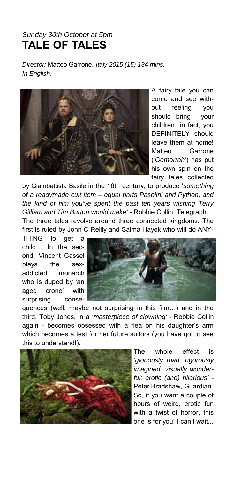### *Sunday 30th October at 5pm*  **TALE OF TALES**

*Director:* Matteo Garrone. *Italy 2015 (15) 134 mins. In English.* 



A fairy tale you can come and see without feeling you should bring your children...in fact, you DEFINITELY should leave them at home! Matteo Garrone (*'Gomorrah'*) has put his own spin on the fairy tales collected

by Giambattista Basile in the 16th century, to produce '*something of a readymade cult item – equal parts Pasolini and Python, and the kind of film you've spent the past ten years wishing Terry Gilliam and Tim Burton would make'* - Robbie Collin, Telegraph.

The three tales revolve around three connected kingdoms. The first is ruled by John C Reilly and Salma Hayek who will do ANY-

THING to get a child… In the second, Vincent Cassel plays the sexaddicted monarch who is duped by 'an aged crone' with surprising conse-



quences (well, maybe not surprising in this film…) and in the third, Toby Jones, in a '*masterpiece of clowning'* - Robbie Collin again - becomes obsessed with a flea on his daughter's arm which becomes a test for her future suitors (you have got to see this to understand!).



The whole effect is '*gloriously mad, rigorously imagined, visually wonderful: erotic (and) hilarious'* - Peter Bradshaw, Guardian. So, if you want a couple of hours of weird, erotic fun with a twist of horror, this one is for you! I can't wait...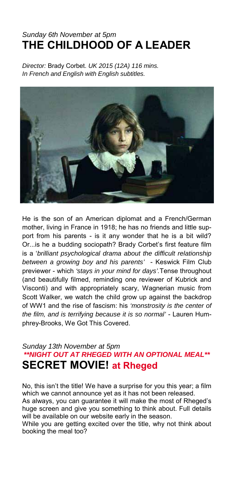## *Sunday 6th November at 5pm*  **THE CHILDHOOD OF A LEADER**

*Director:* Brady Corbet. *UK 2015 (12A) 116 mins. In French and English with English subtitles.* 



He is the son of an American diplomat and a French/German mother, living in France in 1918; he has no friends and little support from his parents - is it any wonder that he is a bit wild? Or...is he a budding sociopath? Brady Corbet's first feature film is a '*brilliant psychological drama about the difficult relationship between a growing boy and his parents'* - Keswick Film Club previewer - which *'stays in your mind for days'.*Tense throughout (and beautifully filmed, reminding one reviewer of Kubrick and Visconti) and with appropriately scary, Wagnerian music from Scott Walker, we watch the child grow up against the backdrop of WW1 and the rise of fascism: his *'monstrosity is the center of the film, and is terrifying because it is so normal'* - Lauren Humphrey-Brooks, We Got This Covered.

#### *Sunday 13th November at 5pm \*\*NIGHT OUT AT RHEGED WITH AN OPTIONAL MEAL\*\**  **SECRET MOVIE! at Rheged**

No, this isn't the title! We have a surprise for you this year; a film which we cannot announce yet as it has not been released.

As always, you can guarantee it will make the most of Rheged's huge screen and give you something to think about. Full details will be available on our website early in the season.

While you are getting excited over the title, why not think about booking the meal too?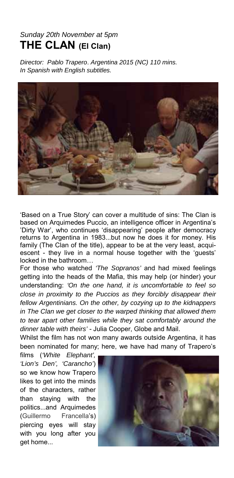### *Sunday 20th November at 5pm*  **THE CLAN (El Clan)**

*Director: Pablo Trapero*. *Argentina 2015 (NC) 110 mins. In Spanish with English subtitles.* 



'Based on a True Story' can cover a multitude of sins: The Clan is based on Arquimedes Puccio, an intelligence officer in Argentina's 'Dirty War', who continues 'disappearing' people after democracy returns to Argentina in 1983...but now he does it for money. His family (The Clan of the title), appear to be at the very least, acquiescent - they live in a normal house together with the 'guests' locked in the bathroom…

For those who watched *'The Sopranos'* and had mixed feelings getting into the heads of the Mafia, this may help (or hinder) your understanding: *'On the one hand, it is uncomfortable to feel so close in proximity to the Puccios as they forcibly disappear their fellow Argentinians. On the other, by cozying up to the kidnappers in The Clan we get closer to the warped thinking that allowed them to tear apart other families while they sat comfortably around the dinner table with theirs'* - Julia Cooper, Globe and Mail.

Whilst the film has not won many awards outside Argentina, it has been nominated for many; here, we have had many of Trapero's

films (*'White Elephant', 'Lion's Den', 'Carancho'*) so we know how Trapero likes to get into the minds of the characters, rather than staying with the politics...and Arquimedes (Guillermo Francella's) piercing eyes will stay with you long after you get home...

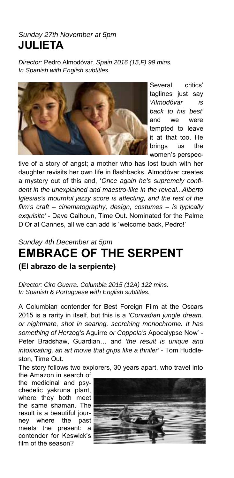## *Sunday 27th November at 5pm*  **JULIETA**

*Director:* Pedro Almodóvar. *Spain 2016 (15,F) 99 mins. In Spanish with English subtitles.* 



Several critics' taglines just say *'Almodóvar is back to his best'* and we were tempted to leave it at that too. He brings us the women's perspec-

tive of a story of angst; a mother who has lost touch with her daughter revisits her own life in flashbacks. Almodóvar creates a mystery out of this and, '*Once again he's supremely confident in the unexplained and maestro-like in the reveal...Alberto Iglesias's mournful jazzy score is affecting, and the rest of the film's craft – cinematography, design, costumes – is typically exquisite'* - Dave Calhoun, Time Out. Nominated for the Palme D'Or at Cannes, all we can add is 'welcome back, Pedro!'

## *Sunday 4th December at 5pm*  **EMBRACE OF THE SERPENT (El abrazo de la serpiente)**

*Director: Ciro Guerra. Columbia 2015 (12A) 122 mins. In Spanish & Portuguese with English subtitles.* 

A Columbian contender for Best Foreign Film at the Oscars 2015 is a rarity in itself, but this is a *'Conradian jungle dream, or nightmare, shot in searing, scorching monochrome. It has something of Herzog's* Aguirre *or Coppola's* Apocalypse Now' - Peter Bradshaw, Guardian… and *'the result is unique and intoxicating, an art movie that grips like a thriller'* - Tom Huddleston, Time Out.

The story follows two explorers, 30 years apart, who travel into the Amazon in search of

the medicinal and psychedelic yakruna plant, where they both meet the same shaman. The result is a beautiful journey where the past meets the present: a contender for Keswick's film of the season?

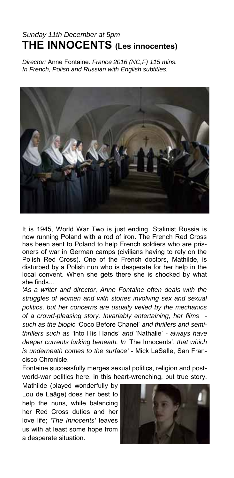## *Sunday 11th December at 5pm*  **THE INNOCENTS (Les innocentes)**

*Director:* Anne Fontaine. *France 2016 (NC,F) 115 mins. In French, Polish and Russian with English subtitles.* 



It is 1945, World War Two is just ending. Stalinist Russia is now running Poland with a rod of iron. The French Red Cross has been sent to Poland to help French soldiers who are prisoners of war in German camps (civilians having to rely on the Polish Red Cross). One of the French doctors, Mathilde, is disturbed by a Polish nun who is desperate for her help in the local convent. When she gets there she is shocked by what she finds...

*'As a writer and director, Anne Fontaine often deals with the struggles of women and with stories involving sex and sexual politics, but her concerns are usually veiled by the mechanics of a crowd-pleasing story. Invariably entertaining, her films such as the biopic* 'Coco Before Chanel' *and thrillers and semithrillers such as '*Into His Hands' *and* 'Nathalie' *- always have deeper currents lurking beneath. In '*The Innocents', *that which is underneath comes to the surface'* - Mick LaSalle, San Francisco Chronicle.

Fontaine successfully merges sexual politics, religion and postworld-war politics here, in this heart-wrenching, but true story.

Mathilde (played wonderfully by Lou de Laâge) does her best to help the nuns, while balancing her Red Cross duties and her love life; *'The Innocents'* leaves us with at least some hope from a desperate situation.

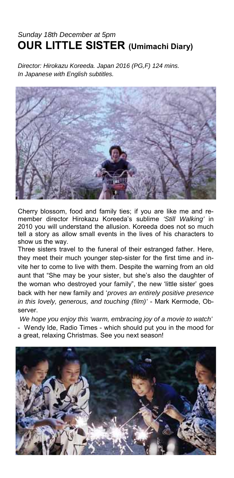## *Sunday 18th December at 5pm* **OUR LITTLE SISTER (Umimachi Diary)**

*Director: Hirokazu Koreeda. Japan 2016 (PG,F) 124 mins. In Japanese with English subtitles.* 



Cherry blossom, food and family ties; if you are like me and remember director Hirokazu Koreeda's sublime *'Still Walking'* in 2010 you will understand the allusion. Koreeda does not so much tell a story as allow small events in the lives of his characters to show us the way.

Three sisters travel to the funeral of their estranged father. Here, they meet their much younger step-sister for the first time and invite her to come to live with them. Despite the warning from an old aunt that "She may be your sister, but she's also the daughter of the woman who destroyed your family", the new 'little sister' goes back with her new family and '*proves an entirely positive presence in this lovely, generous, and touching (film)'* - Mark Kermode, Observer.

*We hope you enjoy this 'warm, embracing joy of a movie to watch'* - Wendy Ide, Radio Times - which should put you in the mood for a great, relaxing Christmas. See you next season!